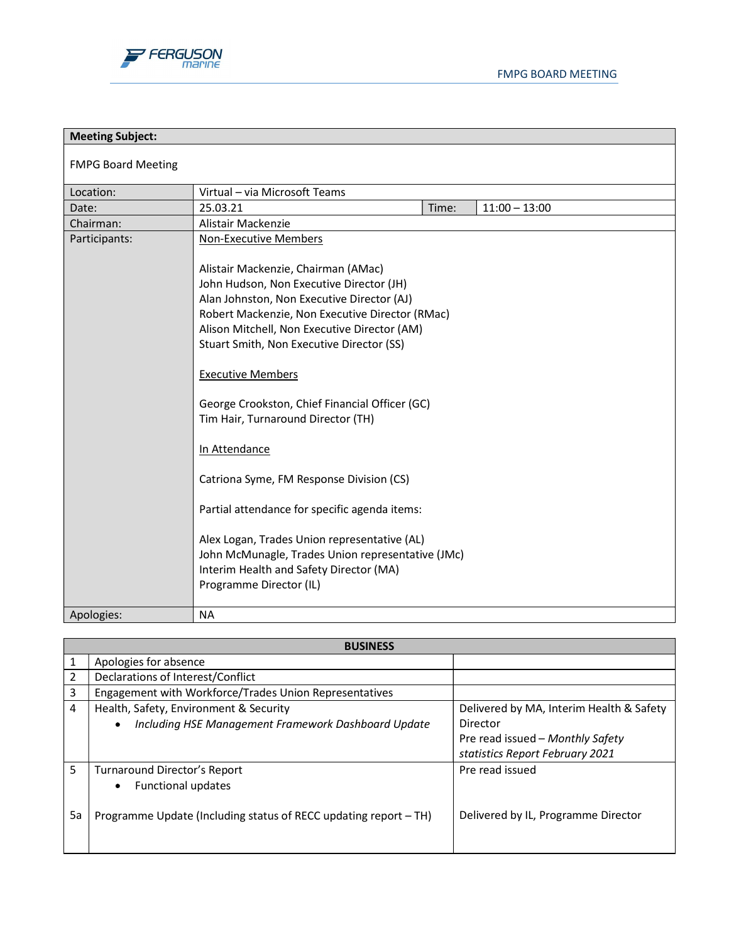

| <b>Meeting Subject:</b>   |                                                                                                                                                                                                                                                                                                                                                                                                                                                                                                                                                                                                                                                                                            |
|---------------------------|--------------------------------------------------------------------------------------------------------------------------------------------------------------------------------------------------------------------------------------------------------------------------------------------------------------------------------------------------------------------------------------------------------------------------------------------------------------------------------------------------------------------------------------------------------------------------------------------------------------------------------------------------------------------------------------------|
| <b>FMPG Board Meeting</b> |                                                                                                                                                                                                                                                                                                                                                                                                                                                                                                                                                                                                                                                                                            |
| Location:                 | Virtual - via Microsoft Teams                                                                                                                                                                                                                                                                                                                                                                                                                                                                                                                                                                                                                                                              |
| Date:                     | 25.03.21<br>$11:00 - 13:00$<br>Time:                                                                                                                                                                                                                                                                                                                                                                                                                                                                                                                                                                                                                                                       |
| Chairman:                 | Alistair Mackenzie                                                                                                                                                                                                                                                                                                                                                                                                                                                                                                                                                                                                                                                                         |
| Participants:             | <b>Non-Executive Members</b>                                                                                                                                                                                                                                                                                                                                                                                                                                                                                                                                                                                                                                                               |
|                           | Alistair Mackenzie, Chairman (AMac)<br>John Hudson, Non Executive Director (JH)<br>Alan Johnston, Non Executive Director (AJ)<br>Robert Mackenzie, Non Executive Director (RMac)<br>Alison Mitchell, Non Executive Director (AM)<br>Stuart Smith, Non Executive Director (SS)<br><b>Executive Members</b><br>George Crookston, Chief Financial Officer (GC)<br>Tim Hair, Turnaround Director (TH)<br>In Attendance<br>Catriona Syme, FM Response Division (CS)<br>Partial attendance for specific agenda items:<br>Alex Logan, Trades Union representative (AL)<br>John McMunagle, Trades Union representative (JMc)<br>Interim Health and Safety Director (MA)<br>Programme Director (IL) |
|                           |                                                                                                                                                                                                                                                                                                                                                                                                                                                                                                                                                                                                                                                                                            |
| Apologies:                | <b>NA</b>                                                                                                                                                                                                                                                                                                                                                                                                                                                                                                                                                                                                                                                                                  |

| <b>BUSINESS</b> |                                                                  |                                          |
|-----------------|------------------------------------------------------------------|------------------------------------------|
|                 | Apologies for absence                                            |                                          |
| $\overline{2}$  | Declarations of Interest/Conflict                                |                                          |
| 3               | Engagement with Workforce/Trades Union Representatives           |                                          |
| 4               | Health, Safety, Environment & Security                           | Delivered by MA, Interim Health & Safety |
|                 | Including HSE Management Framework Dashboard Update<br>٠         | Director                                 |
|                 |                                                                  | Pre read issued - Monthly Safety         |
|                 |                                                                  | statistics Report February 2021          |
| 5               | Turnaround Director's Report                                     | Pre read issued                          |
|                 | <b>Functional updates</b><br>$\bullet$                           |                                          |
|                 |                                                                  |                                          |
| 5a              | Programme Update (Including status of RECC updating report - TH) | Delivered by IL, Programme Director      |
|                 |                                                                  |                                          |
|                 |                                                                  |                                          |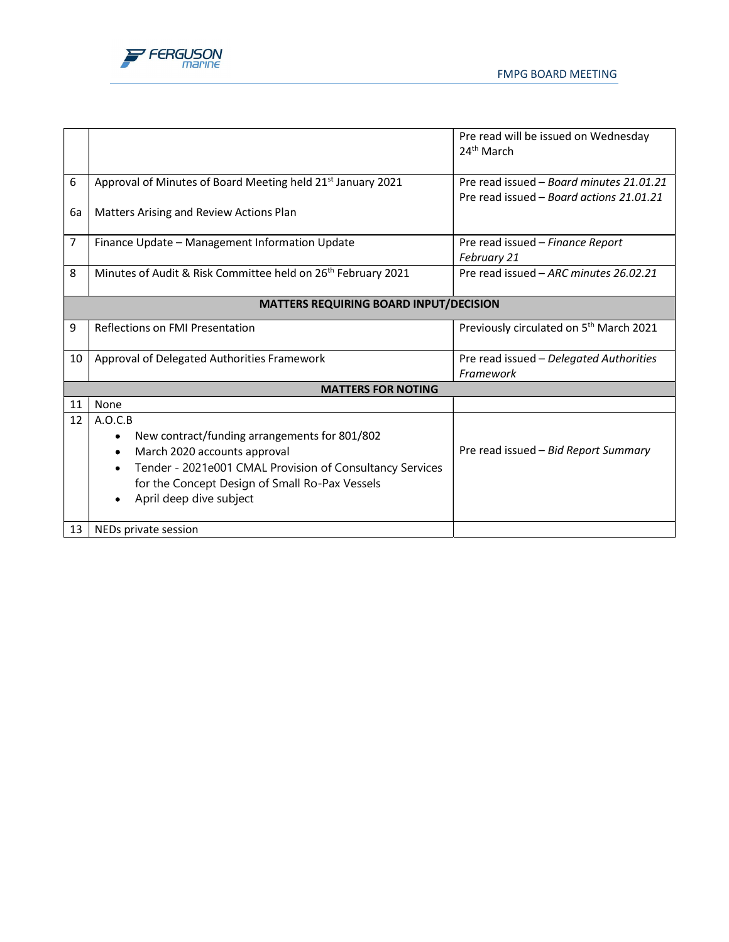



|                |                                                                          | Pre read will be issued on Wednesday                |
|----------------|--------------------------------------------------------------------------|-----------------------------------------------------|
|                |                                                                          | 24 <sup>th</sup> March                              |
|                |                                                                          |                                                     |
|                |                                                                          | Pre read issued - Board minutes 21.01.21            |
| 6              | Approval of Minutes of Board Meeting held 21st January 2021              |                                                     |
|                |                                                                          | Pre read issued - Board actions 21.01.21            |
| 6а             | Matters Arising and Review Actions Plan                                  |                                                     |
| $\overline{7}$ | Finance Update - Management Information Update                           | Pre read issued - Finance Report                    |
|                |                                                                          |                                                     |
|                |                                                                          | February 21                                         |
| 8              | Minutes of Audit & Risk Committee held on 26 <sup>th</sup> February 2021 | Pre read issued - ARC minutes 26.02.21              |
|                | <b>MATTERS REQUIRING BOARD INPUT/DECISION</b>                            |                                                     |
| 9              | Reflections on FMI Presentation                                          | Previously circulated on 5 <sup>th</sup> March 2021 |
|                |                                                                          |                                                     |
| 10             | Approval of Delegated Authorities Framework                              | Pre read issued - Delegated Authorities             |
|                |                                                                          | Framework                                           |
|                | <b>MATTERS FOR NOTING</b>                                                |                                                     |
| 11             | None                                                                     |                                                     |
| 12             | A.O.C.B                                                                  |                                                     |
|                | New contract/funding arrangements for 801/802<br>٠                       |                                                     |
|                | March 2020 accounts approval                                             | Pre read issued - Bid Report Summary                |
|                | Tender - 2021e001 CMAL Provision of Consultancy Services<br>٠            |                                                     |
|                | for the Concept Design of Small Ro-Pax Vessels                           |                                                     |
|                |                                                                          |                                                     |
|                | April deep dive subject<br>٠                                             |                                                     |
| 13             | NEDs private session                                                     |                                                     |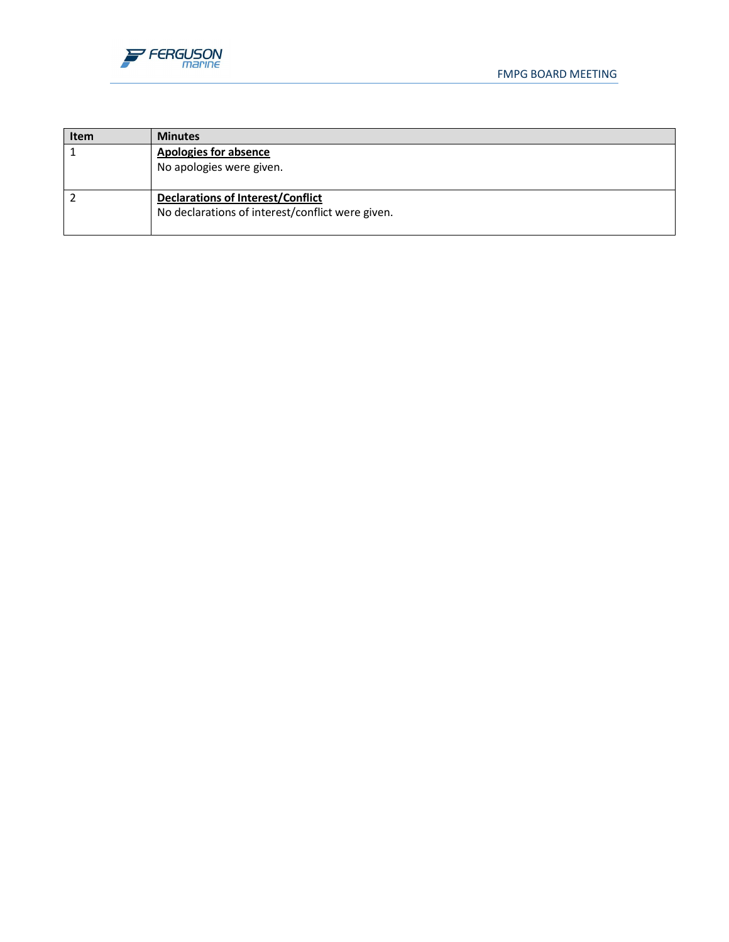

| <b>Item</b> | <b>Minutes</b>                                                                               |
|-------------|----------------------------------------------------------------------------------------------|
|             | <b>Apologies for absence</b><br>No apologies were given.                                     |
|             | <b>Declarations of Interest/Conflict</b><br>No declarations of interest/conflict were given. |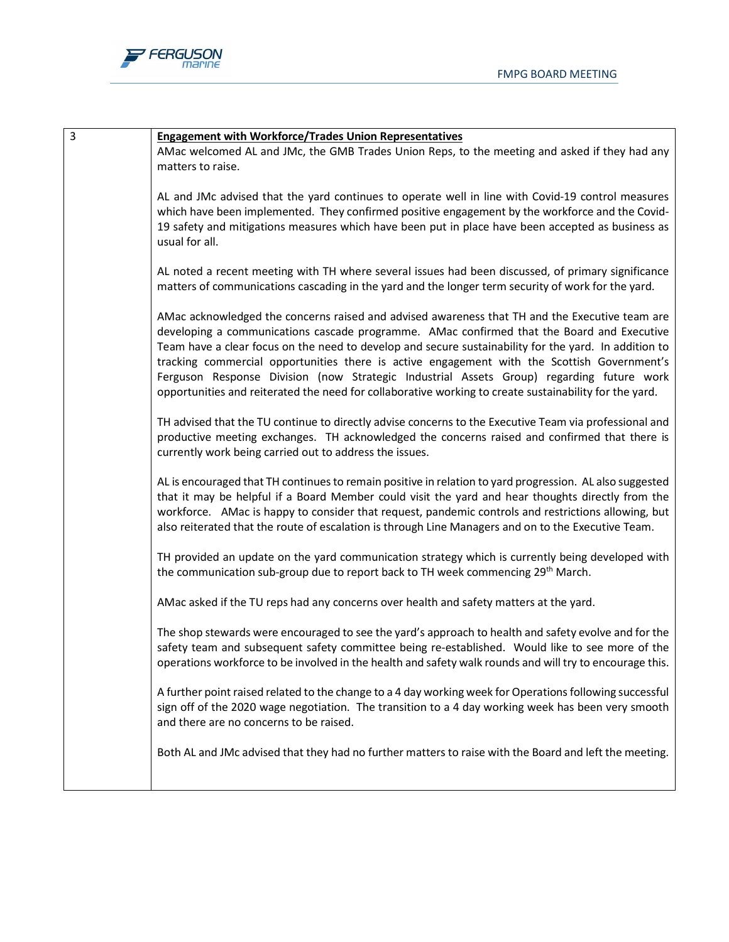

| <b>Engagement with Workforce/Trades Union Representatives</b>                                            |
|----------------------------------------------------------------------------------------------------------|
| AMac welcomed AL and JMc, the GMB Trades Union Reps, to the meeting and asked if they had any            |
| matters to raise.                                                                                        |
|                                                                                                          |
| AL and JMc advised that the yard continues to operate well in line with Covid-19 control measures        |
| which have been implemented. They confirmed positive engagement by the workforce and the Covid-          |
| 19 safety and mitigations measures which have been put in place have been accepted as business as        |
| usual for all.                                                                                           |
|                                                                                                          |
| AL noted a recent meeting with TH where several issues had been discussed, of primary significance       |
| matters of communications cascading in the yard and the longer term security of work for the yard.       |
| AMac acknowledged the concerns raised and advised awareness that TH and the Executive team are           |
| developing a communications cascade programme. AMac confirmed that the Board and Executive               |
| Team have a clear focus on the need to develop and secure sustainability for the yard. In addition to    |
| tracking commercial opportunities there is active engagement with the Scottish Government's              |
| Ferguson Response Division (now Strategic Industrial Assets Group) regarding future work                 |
| opportunities and reiterated the need for collaborative working to create sustainability for the yard.   |
|                                                                                                          |
| TH advised that the TU continue to directly advise concerns to the Executive Team via professional and   |
| productive meeting exchanges. TH acknowledged the concerns raised and confirmed that there is            |
| currently work being carried out to address the issues.                                                  |
|                                                                                                          |
| AL is encouraged that TH continues to remain positive in relation to yard progression. AL also suggested |
| that it may be helpful if a Board Member could visit the yard and hear thoughts directly from the        |
| workforce. AMac is happy to consider that request, pandemic controls and restrictions allowing, but      |
| also reiterated that the route of escalation is through Line Managers and on to the Executive Team.      |
| TH provided an update on the yard communication strategy which is currently being developed with         |
| the communication sub-group due to report back to TH week commencing 29 <sup>th</sup> March.             |
|                                                                                                          |
| AMac asked if the TU reps had any concerns over health and safety matters at the yard.                   |
|                                                                                                          |
| The shop stewards were encouraged to see the yard's approach to health and safety evolve and for the     |
| safety team and subsequent safety committee being re-established. Would like to see more of the          |
| operations workforce to be involved in the health and safety walk rounds and will try to encourage this. |
|                                                                                                          |
| A further point raised related to the change to a 4 day working week for Operations following successful |
| sign off of the 2020 wage negotiation. The transition to a 4 day working week has been very smooth       |
| and there are no concerns to be raised.                                                                  |
| Both AL and JMc advised that they had no further matters to raise with the Board and left the meeting.   |
|                                                                                                          |
|                                                                                                          |
|                                                                                                          |
|                                                                                                          |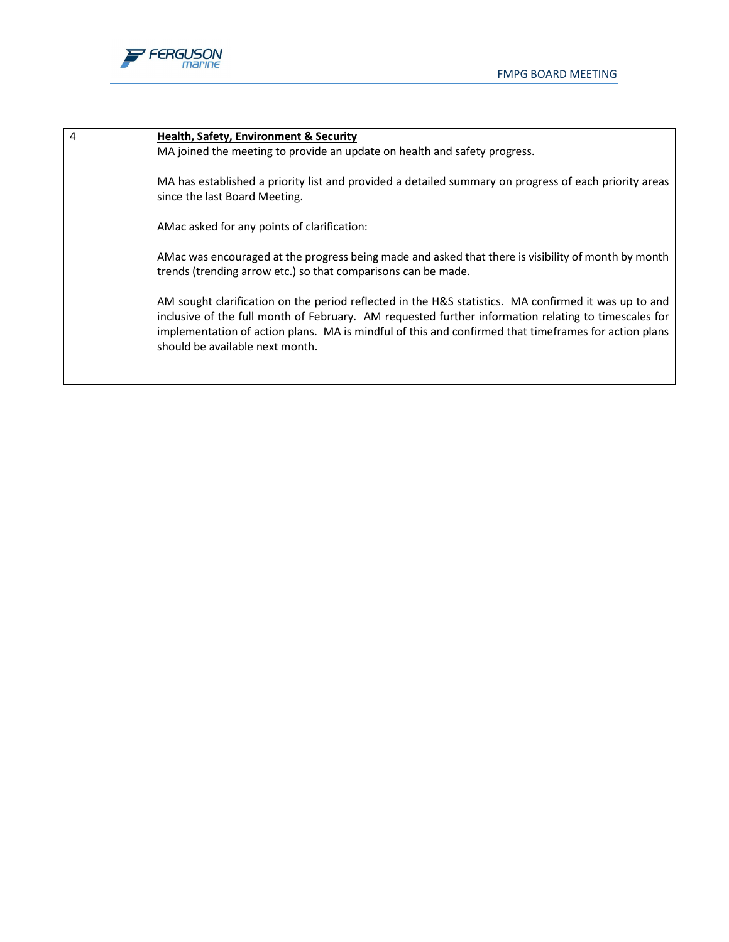

| $\overline{4}$ | <b>Health, Safety, Environment &amp; Security</b>                                                                                                                                                                                                                                                                                                       |
|----------------|---------------------------------------------------------------------------------------------------------------------------------------------------------------------------------------------------------------------------------------------------------------------------------------------------------------------------------------------------------|
|                | MA joined the meeting to provide an update on health and safety progress.                                                                                                                                                                                                                                                                               |
|                | MA has established a priority list and provided a detailed summary on progress of each priority areas<br>since the last Board Meeting.                                                                                                                                                                                                                  |
|                | AMac asked for any points of clarification:                                                                                                                                                                                                                                                                                                             |
|                | AMac was encouraged at the progress being made and asked that there is visibility of month by month<br>trends (trending arrow etc.) so that comparisons can be made.                                                                                                                                                                                    |
|                | AM sought clarification on the period reflected in the H&S statistics. MA confirmed it was up to and<br>inclusive of the full month of February. AM requested further information relating to timescales for<br>implementation of action plans. MA is mindful of this and confirmed that timeframes for action plans<br>should be available next month. |
|                |                                                                                                                                                                                                                                                                                                                                                         |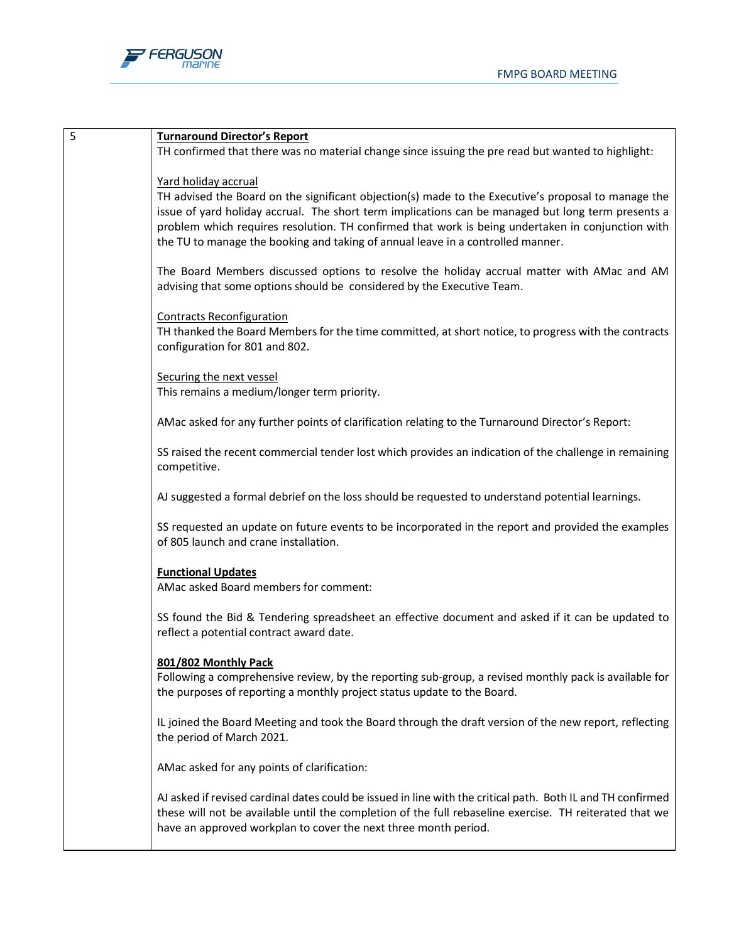

| 5 | <b>Turnaround Director's Report</b>                                                                                                          |  |
|---|----------------------------------------------------------------------------------------------------------------------------------------------|--|
|   | TH confirmed that there was no material change since issuing the pre read but wanted to highlight:                                           |  |
|   | Yard holiday accrual                                                                                                                         |  |
|   | TH advised the Board on the significant objection(s) made to the Executive's proposal to manage the                                          |  |
|   | issue of yard holiday accrual. The short term implications can be managed but long term presents a                                           |  |
|   | problem which requires resolution. TH confirmed that work is being undertaken in conjunction with                                            |  |
|   | the TU to manage the booking and taking of annual leave in a controlled manner.                                                              |  |
|   | The Board Members discussed options to resolve the holiday accrual matter with AMac and AM                                                   |  |
|   | advising that some options should be considered by the Executive Team.                                                                       |  |
|   | <b>Contracts Reconfiguration</b>                                                                                                             |  |
|   | TH thanked the Board Members for the time committed, at short notice, to progress with the contracts                                         |  |
|   | configuration for 801 and 802.                                                                                                               |  |
|   |                                                                                                                                              |  |
|   | Securing the next vessel<br>This remains a medium/longer term priority.                                                                      |  |
|   |                                                                                                                                              |  |
|   | AMac asked for any further points of clarification relating to the Turnaround Director's Report:                                             |  |
|   | SS raised the recent commercial tender lost which provides an indication of the challenge in remaining                                       |  |
|   | competitive.                                                                                                                                 |  |
|   |                                                                                                                                              |  |
|   | AJ suggested a formal debrief on the loss should be requested to understand potential learnings.                                             |  |
|   | SS requested an update on future events to be incorporated in the report and provided the examples                                           |  |
|   | of 805 launch and crane installation.                                                                                                        |  |
|   | <b>Functional Updates</b>                                                                                                                    |  |
|   | AMac asked Board members for comment:                                                                                                        |  |
|   |                                                                                                                                              |  |
|   | SS found the Bid & Tendering spreadsheet an effective document and asked if it can be updated to<br>reflect a potential contract award date. |  |
|   |                                                                                                                                              |  |
|   | 801/802 Monthly Pack                                                                                                                         |  |
|   | Following a comprehensive review, by the reporting sub-group, a revised monthly pack is available for                                        |  |
|   | the purposes of reporting a monthly project status update to the Board.                                                                      |  |
|   | IL joined the Board Meeting and took the Board through the draft version of the new report, reflecting                                       |  |
|   | the period of March 2021.                                                                                                                    |  |
|   | AMac asked for any points of clarification:                                                                                                  |  |
|   |                                                                                                                                              |  |
|   | AJ asked if revised cardinal dates could be issued in line with the critical path. Both IL and TH confirmed                                  |  |
|   | these will not be available until the completion of the full rebaseline exercise. TH reiterated that we                                      |  |
|   | have an approved workplan to cover the next three month period.                                                                              |  |
|   |                                                                                                                                              |  |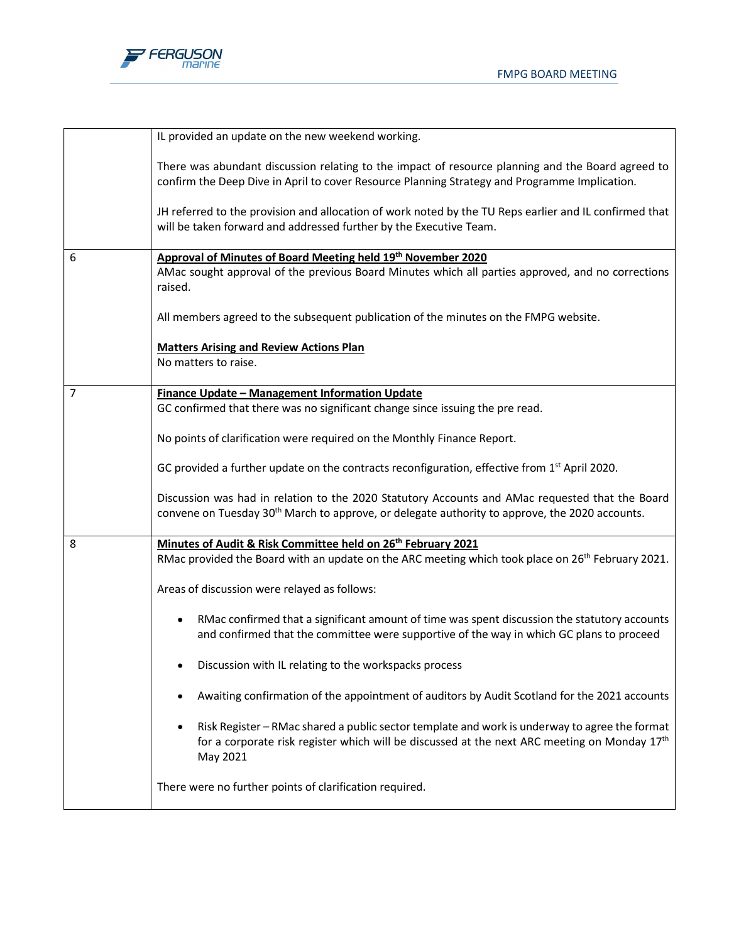



|   | IL provided an update on the new weekend working.                                                                                                                                                                          |
|---|----------------------------------------------------------------------------------------------------------------------------------------------------------------------------------------------------------------------------|
|   | There was abundant discussion relating to the impact of resource planning and the Board agreed to<br>confirm the Deep Dive in April to cover Resource Planning Strategy and Programme Implication.                         |
|   | JH referred to the provision and allocation of work noted by the TU Reps earlier and IL confirmed that<br>will be taken forward and addressed further by the Executive Team.                                               |
| 6 | Approval of Minutes of Board Meeting held 19th November 2020<br>AMac sought approval of the previous Board Minutes which all parties approved, and no corrections<br>raised.                                               |
|   | All members agreed to the subsequent publication of the minutes on the FMPG website.                                                                                                                                       |
|   | <b>Matters Arising and Review Actions Plan</b><br>No matters to raise.                                                                                                                                                     |
| 7 | Finance Update - Management Information Update                                                                                                                                                                             |
|   | GC confirmed that there was no significant change since issuing the pre read.                                                                                                                                              |
|   | No points of clarification were required on the Monthly Finance Report.                                                                                                                                                    |
|   | GC provided a further update on the contracts reconfiguration, effective from $1st$ April 2020.                                                                                                                            |
|   | Discussion was had in relation to the 2020 Statutory Accounts and AMac requested that the Board<br>convene on Tuesday 30 <sup>th</sup> March to approve, or delegate authority to approve, the 2020 accounts.              |
| 8 | Minutes of Audit & Risk Committee held on 26 <sup>th</sup> February 2021<br>RMac provided the Board with an update on the ARC meeting which took place on 26 <sup>th</sup> February 2021.                                  |
|   | Areas of discussion were relayed as follows:                                                                                                                                                                               |
|   | RMac confirmed that a significant amount of time was spent discussion the statutory accounts<br>٠<br>and confirmed that the committee were supportive of the way in which GC plans to proceed                              |
|   | Discussion with IL relating to the workspacks process                                                                                                                                                                      |
|   | Awaiting confirmation of the appointment of auditors by Audit Scotland for the 2021 accounts                                                                                                                               |
|   | Risk Register - RMac shared a public sector template and work is underway to agree the format<br>٠<br>for a corporate risk register which will be discussed at the next ARC meeting on Monday 17 <sup>th</sup><br>May 2021 |
|   | There were no further points of clarification required.                                                                                                                                                                    |
|   |                                                                                                                                                                                                                            |